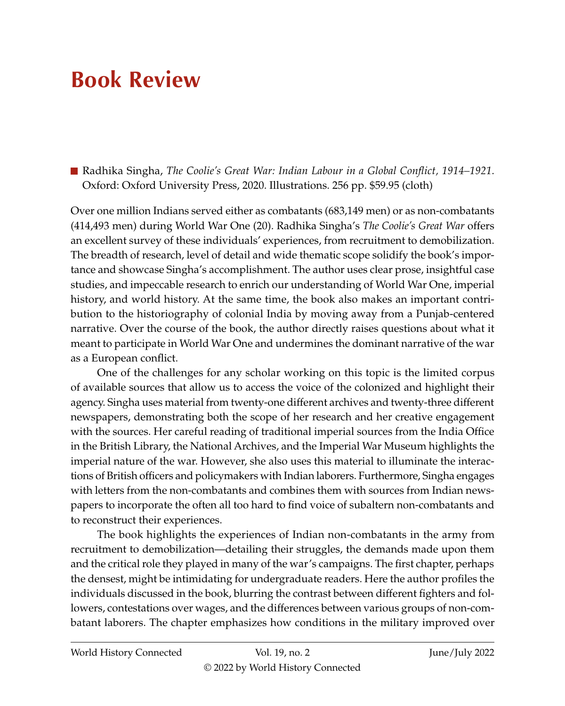## **Book Review**

Radhika Singha, *The Coolie's Great War: Indian Labour in a Global Conflict, 1914–1921*. Oxford: Oxford University Press, 2020. Illustrations. 256 pp. \$59.95 (cloth)

Over one million Indians served either as combatants (683,149 men) or as non-combatants (414,493 men) during World War One (20). Radhika Singha's *The Coolie's Great War* offers an excellent survey of these individuals' experiences, from recruitment to demobilization. The breadth of research, level of detail and wide thematic scope solidify the book's importance and showcase Singha's accomplishment. The author uses clear prose, insightful case studies, and impeccable research to enrich our understanding of World War One, imperial history, and world history. At the same time, the book also makes an important contribution to the historiography of colonial India by moving away from a Punjab-centered narrative. Over the course of the book, the author directly raises questions about what it meant to participate in World War One and undermines the dominant narrative of the war as a European conflict.

One of the challenges for any scholar working on this topic is the limited corpus of available sources that allow us to access the voice of the colonized and highlight their agency. Singha uses material from twenty-one different archives and twenty-three different newspapers, demonstrating both the scope of her research and her creative engagement with the sources. Her careful reading of traditional imperial sources from the India Office in the British Library, the National Archives, and the Imperial War Museum highlights the imperial nature of the war. However, she also uses this material to illuminate the interactions of British officers and policymakers with Indian laborers. Furthermore, Singha engages with letters from the non-combatants and combines them with sources from Indian newspapers to incorporate the often all too hard to find voice of subaltern non-combatants and to reconstruct their experiences.

The book highlights the experiences of Indian non-combatants in the army from recruitment to demobilization—detailing their struggles, the demands made upon them and the critical role they played in many of the war's campaigns. The first chapter, perhaps the densest, might be intimidating for undergraduate readers. Here the author profiles the individuals discussed in the book, blurring the contrast between different fighters and followers, contestations over wages, and the differences between various groups of non-combatant laborers. The chapter emphasizes how conditions in the military improved over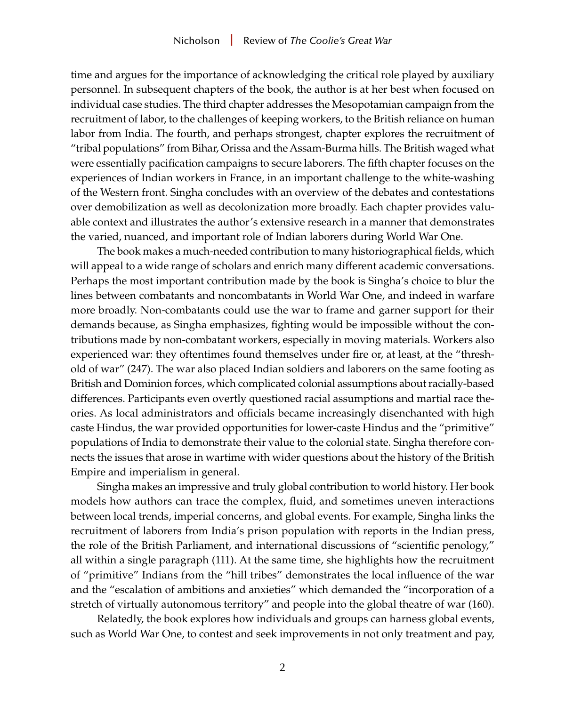time and argues for the importance of acknowledging the critical role played by auxiliary personnel. In subsequent chapters of the book, the author is at her best when focused on individual case studies. The third chapter addresses the Mesopotamian campaign from the recruitment of labor, to the challenges of keeping workers, to the British reliance on human labor from India. The fourth, and perhaps strongest, chapter explores the recruitment of "tribal populations" from Bihar, Orissa and the Assam-Burma hills. The British waged what were essentially pacification campaigns to secure laborers. The fifth chapter focuses on the experiences of Indian workers in France, in an important challenge to the white-washing of the Western front. Singha concludes with an overview of the debates and contestations over demobilization as well as decolonization more broadly. Each chapter provides valuable context and illustrates the author's extensive research in a manner that demonstrates the varied, nuanced, and important role of Indian laborers during World War One.

The book makes a much-needed contribution to many historiographical fields, which will appeal to a wide range of scholars and enrich many different academic conversations. Perhaps the most important contribution made by the book is Singha's choice to blur the lines between combatants and noncombatants in World War One, and indeed in warfare more broadly. Non-combatants could use the war to frame and garner support for their demands because, as Singha emphasizes, fighting would be impossible without the contributions made by non-combatant workers, especially in moving materials. Workers also experienced war: they oftentimes found themselves under fire or, at least, at the "threshold of war" (247). The war also placed Indian soldiers and laborers on the same footing as British and Dominion forces, which complicated colonial assumptions about racially-based differences. Participants even overtly questioned racial assumptions and martial race theories. As local administrators and officials became increasingly disenchanted with high caste Hindus, the war provided opportunities for lower-caste Hindus and the "primitive" populations of India to demonstrate their value to the colonial state. Singha therefore connects the issues that arose in wartime with wider questions about the history of the British Empire and imperialism in general.

Singha makes an impressive and truly global contribution to world history. Her book models how authors can trace the complex, fluid, and sometimes uneven interactions between local trends, imperial concerns, and global events. For example, Singha links the recruitment of laborers from India's prison population with reports in the Indian press, the role of the British Parliament, and international discussions of "scientific penology," all within a single paragraph (111). At the same time, she highlights how the recruitment of "primitive" Indians from the "hill tribes" demonstrates the local influence of the war and the "escalation of ambitions and anxieties" which demanded the "incorporation of a stretch of virtually autonomous territory" and people into the global theatre of war (160).

Relatedly, the book explores how individuals and groups can harness global events, such as World War One, to contest and seek improvements in not only treatment and pay,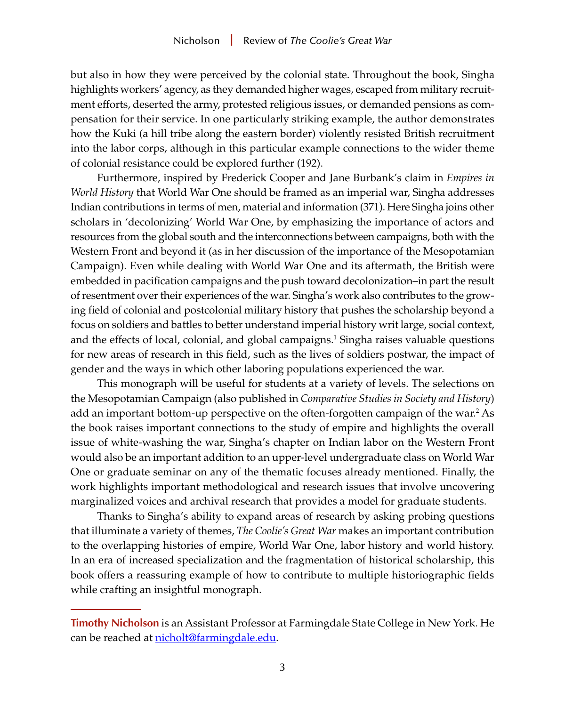<span id="page-2-0"></span>but also in how they were perceived by the colonial state. Throughout the book, Singha highlights workers' agency, as they demanded higher wages, escaped from military recruitment efforts, deserted the army, protested religious issues, or demanded pensions as compensation for their service. In one particularly striking example, the author demonstrates how the Kuki (a hill tribe along the eastern border) violently resisted British recruitment into the labor corps, although in this particular example connections to the wider theme of colonial resistance could be explored further (192).

Furthermore, inspired by Frederick Cooper and Jane Burbank's claim in *Empires in World History* that World War One should be framed as an imperial war, Singha addresses Indian contributions in terms of men, material and information (371). Here Singha joins other scholars in 'decolonizing' World War One, by emphasizing the importance of actors and resources from the global south and the interconnections between campaigns, both with the Western Front and beyond it (as in her discussion of the importance of the Mesopotamian Campaign). Even while dealing with World War One and its aftermath, the British were embedded in pacification campaigns and the push toward decolonization–in part the result of resentment over their experiences of the war. Singha's work also contributes to the growing field of colonial and postcolonial military history that pushes the scholarship beyond a focus on soldiers and battles to better understand imperial history writ large, social context, and the effects of local, colonial, and global campaigns.<sup>1</sup> Singha raises valuable questions for new areas of research in this field, such as the lives of soldiers postwar, the impact of gender and the ways in which other laboring populations experienced the war.

This monograph will be useful for students at a variety of levels. The selections on the Mesopotamian Campaign (also published in *Comparative Studies in Society and History*) add an important bottom-up perspective on the often-forgotten campaign of the war[.2](#page-3-0) As the book raises important connections to the study of empire and highlights the overall issue of white-washing the war, Singha's chapter on Indian labor on the Western Front would also be an important addition to an upper-level undergraduate class on World War One or graduate seminar on any of the thematic focuses already mentioned. Finally, the work highlights important methodological and research issues that involve uncovering marginalized voices and archival research that provides a model for graduate students.

Thanks to Singha's ability to expand areas of research by asking probing questions that illuminate a variety of themes, *The Coolie's Great War* makes an important contribution to the overlapping histories of empire, World War One, labor history and world history. In an era of increased specialization and the fragmentation of historical scholarship, this book offers a reassuring example of how to contribute to multiple historiographic fields while crafting an insightful monograph.

**Timothy Nicholson** is an Assistant Professor at Farmingdale State College in New York. He can be reached at [nicholt@farmingdale.edu](mailto:nicholt@farmingdale.edu).